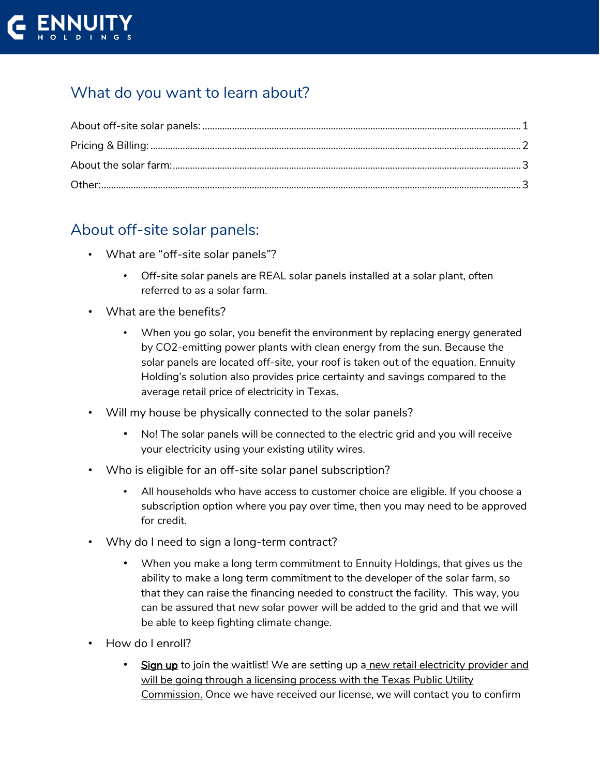

# What do you want to learn about?

### <span id="page-0-0"></span>About off-site solar panels:

- What are "off-site solar panels"?
	- Off-site solar panels are REAL solar panels installed at a solar plant, often referred to as a solar farm.
- What are the benefits?
	- When you go solar, you benefit the environment by replacing energy generated by CO2-emitting power plants with clean energy from the sun. Because the solar panels are located off-site, your roof is taken out of the equation. Ennuity Holding's solution also provides price certainty and savings compared to the average retail price of electricity in Texas.
- Will my house be physically connected to the solar panels?
	- No! The solar panels will be connected to the electric grid and you will receive your electricity using your existing utility wires.
- Who is eligible for an off-site solar panel subscription?
	- All households who have access to customer choice are eligible. If you choose a subscription option where you pay over time, then you may need to be approved for credit.
- Why do I need to sign a long-term contract?
	- When you make a long term commitment to Ennuity Holdings, that gives us the ability to make a long term commitment to the developer of the solar farm, so that they can raise the financing needed to construct the facility. This way, you can be assured that new solar power will be added to the grid and that we will be able to keep fighting climate change.
- How do I enroll?
	- Sign up to join the waitlist! We are setting up a new retail electricity provider and will be going through a licensing process with the Texas Public Utility Commission. Once we have received our license, we will contact you to confirm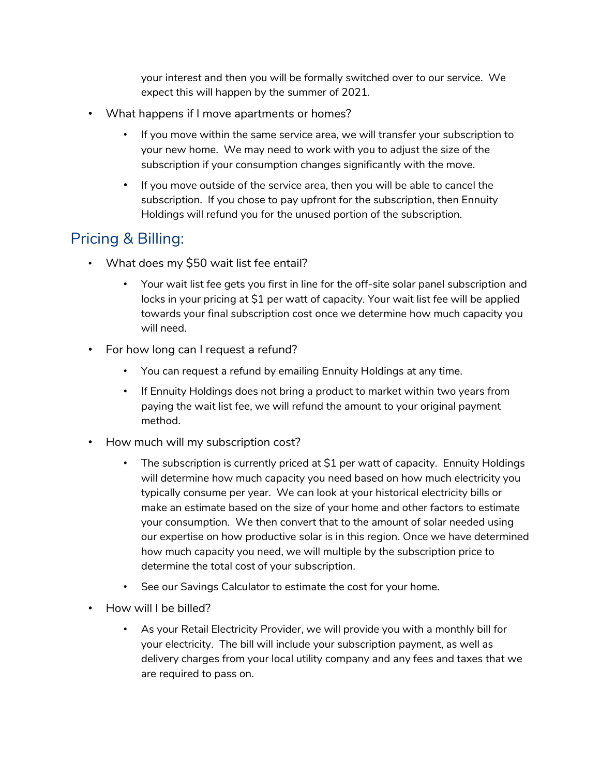your interest and then you will be formally switched over to our service. We expect this will happen by the summer of 2021.

- What happens if I move apartments or homes?
	- If you move within the same service area, we will transfer your subscription to your new home. We may need to work with you to adjust the size of the subscription if your consumption changes significantly with the move.
	- If you move outside of the service area, then you will be able to cancel the subscription. If you chose to pay upfront for the subscription, then Ennuity Holdings will refund you for the unused portion of the subscription.

## <span id="page-1-0"></span>Pricing & Billing:

- What does my \$50 wait list fee entail?
	- Your wait list fee gets you first in line for the off-site solar panel subscription and locks in your pricing at \$1 per watt of capacity. Your wait list fee will be applied towards your final subscription cost once we determine how much capacity you will need.
- For how long can I request a refund?
	- You can request a refund by emailing Ennuity Holdings at any time.
	- If Ennuity Holdings does not bring a product to market within two years from paying the wait list fee, we will refund the amount to your original payment method.
- How much will my subscription cost?
	- The subscription is currently priced at \$1 per watt of capacity. Ennuity Holdings will determine how much capacity you need based on how much electricity you typically consume per year. We can look at your historical electricity bills or make an estimate based on the size of your home and other factors to estimate your consumption. We then convert that to the amount of solar needed using our expertise on how productive solar is in this region. Once we have determined how much capacity you need, we will multiple by the subscription price to determine the total cost of your subscription.
	- See our Savings Calculator to estimate the cost for your home.
- How will I be billed?
	- As your Retail Electricity Provider, we will provide you with a monthly bill for your electricity. The bill will include your subscription payment, as well as delivery charges from your local utility company and any fees and taxes that we are required to pass on.